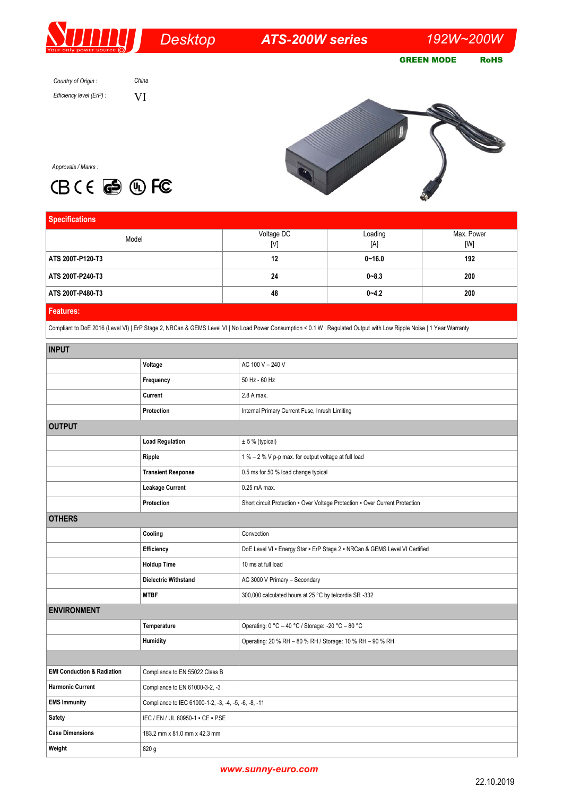## *Desktop*

*ATS-200W series 192W~200W* 

GREEN MODE RoHS

*Country of Origin : Efficiency level (ErP) :*



*Approvals / Marks :*



*China* VI

| <b>Specifications</b> |                                |                |                   |
|-----------------------|--------------------------------|----------------|-------------------|
| Model                 | Voltage DC<br>$[{\mathsf{V}}]$ | Loading<br>[A] | Max. Power<br>[W] |
| ATS 200T-P120-T3      | 12                             | $0 - 16.0$     | 192               |
| ATS 200T-P240-T3      | 24                             | $0 - 8.3$      | 200               |
| ATS 200T-P480-T3      | 48                             | $0 - 4.2$      | 200               |
| <b>Features:</b>      |                                |                |                   |

Compliant to DoE 2016 (Level VI) | ErP Stage 2, NRCan & GEMS Level VI | No Load Power Consumption < 0.1 W | Regulated Output with Low Ripple Noise | 1 Year Warranty

| <b>INPUT</b>                          |                                                      |                                                                              |  |
|---------------------------------------|------------------------------------------------------|------------------------------------------------------------------------------|--|
|                                       | Voltage                                              | AC 100 V - 240 V                                                             |  |
|                                       | Frequency                                            | 50 Hz - 60 Hz                                                                |  |
|                                       | Current                                              | 2.8 A max.                                                                   |  |
|                                       | Protection                                           | Internal Primary Current Fuse, Inrush Limiting                               |  |
| <b>OUTPUT</b>                         |                                                      |                                                                              |  |
|                                       | <b>Load Regulation</b>                               | ± 5 % (typical)                                                              |  |
|                                       | Ripple                                               | 1 % - 2 % V p-p max. for output voltage at full load                         |  |
|                                       | <b>Transient Response</b>                            | 0.5 ms for 50 % load change typical                                          |  |
|                                       | <b>Leakage Current</b>                               | 0.25 mA max.                                                                 |  |
|                                       | Protection                                           | Short circuit Protection - Over Voltage Protection - Over Current Protection |  |
| <b>OTHERS</b>                         |                                                      |                                                                              |  |
|                                       | Cooling                                              | Convection                                                                   |  |
|                                       | Efficiency                                           | DoE Level VI - Energy Star - ErP Stage 2 - NRCan & GEMS Level VI Certified   |  |
|                                       | <b>Holdup Time</b>                                   | 10 ms at full load                                                           |  |
|                                       | <b>Dielectric Withstand</b>                          | AC 3000 V Primary - Secondary                                                |  |
|                                       | <b>MTBF</b>                                          | 300,000 calculated hours at 25 °C by telcordia SR -332                       |  |
| <b>ENVIRONMENT</b>                    |                                                      |                                                                              |  |
|                                       | Temperature                                          | Operating: 0 °C - 40 °C / Storage: -20 °C - 80 °C                            |  |
|                                       | Humidity                                             | Operating: 20 % RH - 80 % RH / Storage: 10 % RH - 90 % RH                    |  |
|                                       |                                                      |                                                                              |  |
| <b>EMI Conduction &amp; Radiation</b> | Compliance to EN 55022 Class B                       |                                                                              |  |
| <b>Harmonic Current</b>               | Compliance to EN 61000-3-2, -3                       |                                                                              |  |
| <b>EMS Immunity</b>                   | Compliance to IEC 61000-1-2, -3, -4, -5, -6, -8, -11 |                                                                              |  |
| Safety                                | IEC / EN / UL 60950-1 - CE - PSE                     |                                                                              |  |
| <b>Case Dimensions</b>                | 183.2 mm x 81.0 mm x 42.3 mm                         |                                                                              |  |
| Weight                                | 820 g                                                |                                                                              |  |